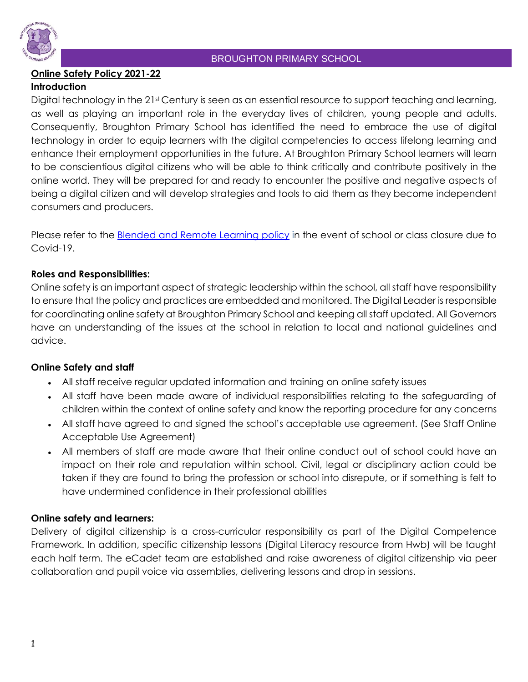

# **Online Safety Policy 2021-22**

# **Introduction**

Digital technology in the 21st Century is seen as an essential resource to support teaching and learning, as well as playing an important role in the everyday lives of children, young people and adults. Consequently, Broughton Primary School has identified the need to embrace the use of digital technology in order to equip learners with the digital competencies to access lifelong learning and enhance their employment opportunities in the future. At Broughton Primary School learners will learn to be conscientious digital citizens who will be able to think critically and contribute positively in the online world. They will be prepared for and ready to encounter the positive and negative aspects of being a digital citizen and will develop strategies and tools to aid them as they become independent consumers and producers.

Please refer to the [Blended and Remote Learning policy](https://docs.google.com/document/d/1tnedtMd-NknnV7Ef17HJntE_qaiS3BSKZEcr6WSbPPw/edit?usp=sharing) in the event of school or class closure due to Covid-19.

## **Roles and Responsibilities:**

Online safety is an important aspect of strategic leadership within the school, all staff have responsibility to ensure that the policy and practices are embedded and monitored. The Digital Leader is responsible for coordinating online safety at Broughton Primary School and keeping all staff updated. All Governors have an understanding of the issues at the school in relation to local and national guidelines and advice.

# **Online Safety and staff**

- All staff receive regular updated information and training on online safety issues
- All staff have been made aware of individual responsibilities relating to the safeguarding of children within the context of online safety and know the reporting procedure for any concerns
- All staff have agreed to and signed the school's acceptable use agreement. (See Staff Online Acceptable Use Agreement)
- All members of staff are made aware that their online conduct out of school could have an impact on their role and reputation within school. Civil, legal or disciplinary action could be taken if they are found to bring the profession or school into disrepute, or if something is felt to have undermined confidence in their professional abilities

# **Online safety and learners:**

Delivery of digital citizenship is a cross-curricular responsibility as part of the Digital Competence Framework. In addition, specific citizenship lessons (Digital Literacy resource from Hwb) will be taught each half term. The eCadet team are established and raise awareness of digital citizenship via peer collaboration and pupil voice via assemblies, delivering lessons and drop in sessions.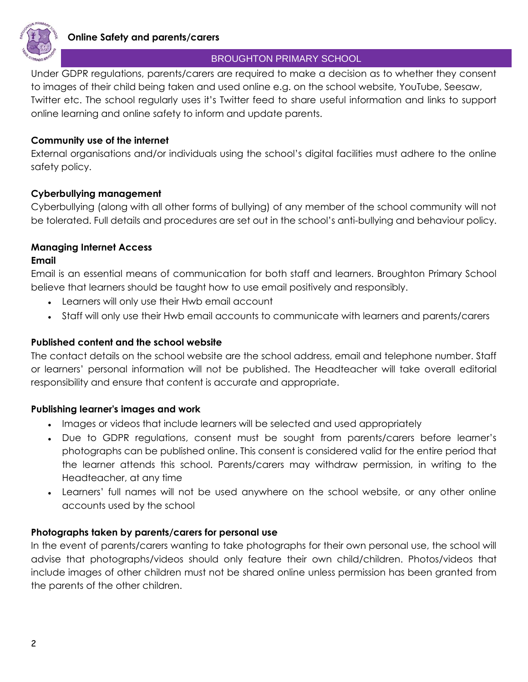

Under GDPR regulations, parents/carers are required to make a decision as to whether they consent to images of their child being taken and used online e.g. on the school website, YouTube, Seesaw, Twitter etc. The school regularly uses it's Twitter feed to share useful information and links to support online learning and online safety to inform and update parents.

#### **Community use of the internet**

External organisations and/or individuals using the school's digital facilities must adhere to the online safety policy.

### **Cyberbullying management**

Cyberbullying (along with all other forms of bullying) of any member of the school community will not be tolerated. Full details and procedures are set out in the school's anti-bullying and behaviour policy.

#### **Managing Internet Access**

#### **Email**

Email is an essential means of communication for both staff and learners. Broughton Primary School believe that learners should be taught how to use email positively and responsibly.

- Learners will only use their Hwb email account
- Staff will only use their Hwb email accounts to communicate with learners and parents/carers

#### **Published content and the school website**

The contact details on the school website are the school address, email and telephone number. Staff or learners' personal information will not be published. The Headteacher will take overall editorial responsibility and ensure that content is accurate and appropriate.

#### **Publishing learner's images and work**

- Images or videos that include learners will be selected and used appropriately
- Due to GDPR regulations, consent must be sought from parents/carers before learner's photographs can be published online. This consent is considered valid for the entire period that the learner attends this school. Parents/carers may withdraw permission, in writing to the Headteacher, at any time
- Learners' full names will not be used anywhere on the school website, or any other online accounts used by the school

### **Photographs taken by parents/carers for personal use**

In the event of parents/carers wanting to take photographs for their own personal use, the school will advise that photographs/videos should only feature their own child/children. Photos/videos that include images of other children must not be shared online unless permission has been granted from the parents of the other children.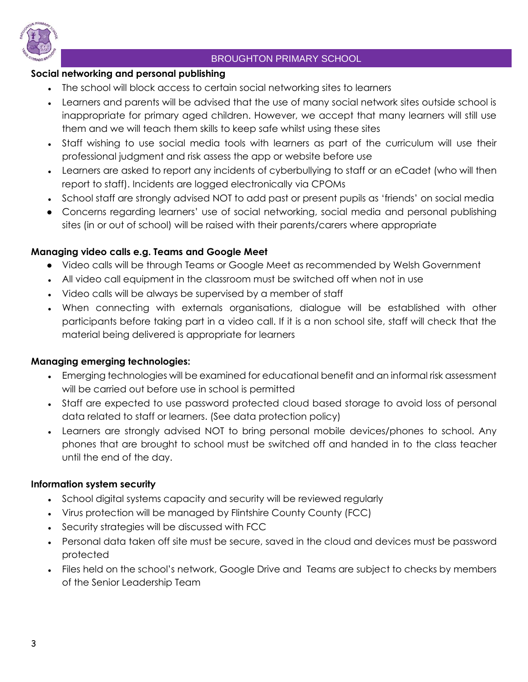

## **Social networking and personal publishing**

- The school will block access to certain social networking sites to learners
- Learners and parents will be advised that the use of many social network sites outside school is inappropriate for primary aged children. However, we accept that many learners will still use them and we will teach them skills to keep safe whilst using these sites
- Staff wishing to use social media tools with learners as part of the curriculum will use their professional judgment and risk assess the app or website before use
- Learners are asked to report any incidents of cyberbullying to staff or an eCadet (who will then report to staff). Incidents are logged electronically via CPOMs
- School staff are strongly advised NOT to add past or present pupils as 'friends' on social media
- Concerns regarding learners' use of social networking, social media and personal publishing sites (in or out of school) will be raised with their parents/carers where appropriate

## **Managing video calls e.g. Teams and Google Meet**

- Video calls will be through Teams or Google Meet as recommended by Welsh Government
- All video call equipment in the classroom must be switched off when not in use
- Video calls will be always be supervised by a member of staff
- When connecting with externals organisations, dialogue will be established with other participants before taking part in a video call. If it is a non school site, staff will check that the material being delivered is appropriate for learners

### **Managing emerging technologies:**

- Emerging technologies will be examined for educational benefit and an informal risk assessment will be carried out before use in school is permitted
- Staff are expected to use password protected cloud based storage to avoid loss of personal data related to staff or learners. (See data protection policy)
- Learners are strongly advised NOT to bring personal mobile devices/phones to school. Any phones that are brought to school must be switched off and handed in to the class teacher until the end of the day.

### **Information system security**

- School digital systems capacity and security will be reviewed regularly
- Virus protection will be managed by Flintshire County County (FCC)
- Security strategies will be discussed with FCC
- Personal data taken off site must be secure, saved in the cloud and devices must be password protected
- Files held on the school's network, Google Drive and Teams are subject to checks by members of the Senior Leadership Team